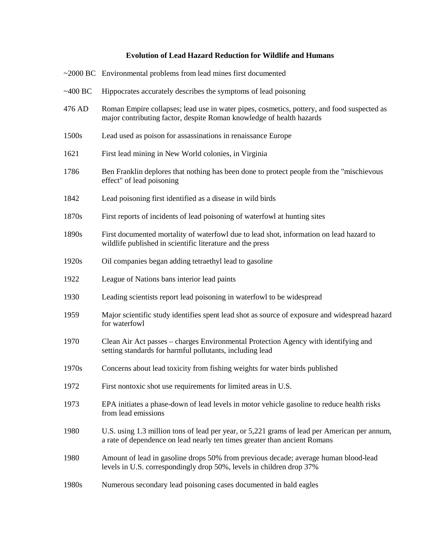## **Evolution of Lead Hazard Reduction for Wildlife and Humans**

|           | $\sim$ 2000 BC Environmental problems from lead mines first documented                                                                                                    |
|-----------|---------------------------------------------------------------------------------------------------------------------------------------------------------------------------|
| $~100$ BC | Hippocrates accurately describes the symptoms of lead poisoning                                                                                                           |
| 476 AD    | Roman Empire collapses; lead use in water pipes, cosmetics, pottery, and food suspected as<br>major contributing factor, despite Roman knowledge of health hazards        |
| 1500s     | Lead used as poison for assassinations in renaissance Europe                                                                                                              |
| 1621      | First lead mining in New World colonies, in Virginia                                                                                                                      |
| 1786      | Ben Franklin deplores that nothing has been done to protect people from the "mischievous"<br>effect" of lead poisoning                                                    |
| 1842      | Lead poisoning first identified as a disease in wild birds                                                                                                                |
| 1870s     | First reports of incidents of lead poisoning of waterfowl at hunting sites                                                                                                |
| 1890s     | First documented mortality of waterfowl due to lead shot, information on lead hazard to<br>wildlife published in scientific literature and the press                      |
| 1920s     | Oil companies began adding tetraethyl lead to gasoline                                                                                                                    |
| 1922      | League of Nations bans interior lead paints                                                                                                                               |
| 1930      | Leading scientists report lead poisoning in waterfowl to be widespread                                                                                                    |
| 1959      | Major scientific study identifies spent lead shot as source of exposure and widespread hazard<br>for waterfowl                                                            |
| 1970      | Clean Air Act passes – charges Environmental Protection Agency with identifying and<br>setting standards for harmful pollutants, including lead                           |
| 1970s     | Concerns about lead toxicity from fishing weights for water birds published                                                                                               |
| 1972      | First nontoxic shot use requirements for limited areas in U.S.                                                                                                            |
| 1973      | EPA initiates a phase-down of lead levels in motor vehicle gasoline to reduce health risks<br>from lead emissions                                                         |
| 1980      | U.S. using 1.3 million tons of lead per year, or 5,221 grams of lead per American per annum,<br>a rate of dependence on lead nearly ten times greater than ancient Romans |
| 1980      | Amount of lead in gasoline drops 50% from previous decade; average human blood-lead<br>levels in U.S. correspondingly drop 50%, levels in children drop 37%               |
| 1980s     | Numerous secondary lead poisoning cases documented in bald eagles                                                                                                         |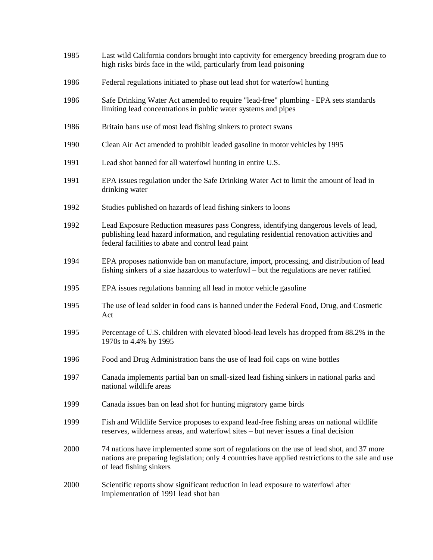| 1985 | Last wild California condors brought into captivity for emergency breeding program due to<br>high risks birds face in the wild, particularly from lead poisoning                                                                        |
|------|-----------------------------------------------------------------------------------------------------------------------------------------------------------------------------------------------------------------------------------------|
| 1986 | Federal regulations initiated to phase out lead shot for waterfowl hunting                                                                                                                                                              |
| 1986 | Safe Drinking Water Act amended to require "lead-free" plumbing - EPA sets standards<br>limiting lead concentrations in public water systems and pipes                                                                                  |
| 1986 | Britain bans use of most lead fishing sinkers to protect swans                                                                                                                                                                          |
| 1990 | Clean Air Act amended to prohibit leaded gasoline in motor vehicles by 1995                                                                                                                                                             |
| 1991 | Lead shot banned for all waterfowl hunting in entire U.S.                                                                                                                                                                               |
| 1991 | EPA issues regulation under the Safe Drinking Water Act to limit the amount of lead in<br>drinking water                                                                                                                                |
| 1992 | Studies published on hazards of lead fishing sinkers to loons                                                                                                                                                                           |
| 1992 | Lead Exposure Reduction measures pass Congress, identifying dangerous levels of lead,<br>publishing lead hazard information, and regulating residential renovation activities and<br>federal facilities to abate and control lead paint |
| 1994 | EPA proposes nationwide ban on manufacture, import, processing, and distribution of lead<br>fishing sinkers of a size hazardous to waterfowl – but the regulations are never ratified                                                   |
| 1995 | EPA issues regulations banning all lead in motor vehicle gasoline                                                                                                                                                                       |
| 1995 | The use of lead solder in food cans is banned under the Federal Food, Drug, and Cosmetic<br>Act                                                                                                                                         |
| 1995 | Percentage of U.S. children with elevated blood-lead levels has dropped from 88.2% in the<br>1970s to 4.4% by 1995                                                                                                                      |
| 1996 | Food and Drug Administration bans the use of lead foil caps on wine bottles                                                                                                                                                             |
| 1997 | Canada implements partial ban on small-sized lead fishing sinkers in national parks and<br>national wildlife areas                                                                                                                      |
| 1999 | Canada issues ban on lead shot for hunting migratory game birds                                                                                                                                                                         |
| 1999 | Fish and Wildlife Service proposes to expand lead-free fishing areas on national wildlife<br>reserves, wilderness areas, and waterfowl sites – but never issues a final decision                                                        |
| 2000 | 74 nations have implemented some sort of regulations on the use of lead shot, and 37 more<br>nations are preparing legislation; only 4 countries have applied restrictions to the sale and use<br>of lead fishing sinkers               |
| 2000 | Scientific reports show significant reduction in lead exposure to waterfowl after<br>implementation of 1991 lead shot ban                                                                                                               |
|      |                                                                                                                                                                                                                                         |